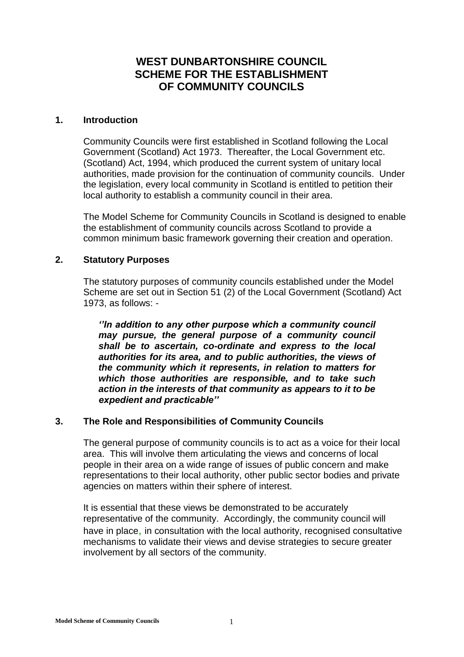# **WEST DUNBARTONSHIRE COUNCIL SCHEME FOR THE ESTABLISHMENT OF COMMUNITY COUNCILS**

#### **1. Introduction**

Community Councils were first established in Scotland following the Local Government (Scotland) Act 1973. Thereafter, the Local Government etc. (Scotland) Act, 1994, which produced the current system of unitary local authorities, made provision for the continuation of community councils. Under the legislation, every local community in Scotland is entitled to petition their local authority to establish a community council in their area.

The Model Scheme for Community Councils in Scotland is designed to enable the establishment of community councils across Scotland to provide a common minimum basic framework governing their creation and operation.

## **2. Statutory Purposes**

The statutory purposes of community councils established under the Model Scheme are set out in Section 51 (2) of the Local Government (Scotland) Act 1973, as follows: -

*''In addition to any other purpose which a community council may pursue, the general purpose of a community council shall be to ascertain, co-ordinate and express to the local authorities for its area, and to public authorities, the views of the community which it represents, in relation to matters for which those authorities are responsible, and to take such action in the interests of that community as appears to it to be expedient and practicable''*

## **3. The Role and Responsibilities of Community Councils**

The general purpose of community councils is to act as a voice for their local area. This will involve them articulating the views and concerns of local people in their area on a wide range of issues of public concern and make representations to their local authority, other public sector bodies and private agencies on matters within their sphere of interest.

It is essential that these views be demonstrated to be accurately representative of the community. Accordingly, the community council will have in place, in consultation with the local authority, recognised consultative mechanisms to validate their views and devise strategies to secure greater involvement by all sectors of the community.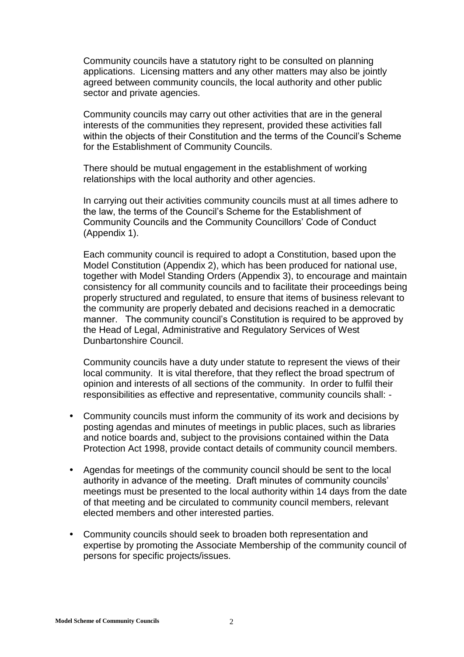Community councils have a statutory right to be consulted on planning applications. Licensing matters and any other matters may also be jointly agreed between community councils, the local authority and other public sector and private agencies.

Community councils may carry out other activities that are in the general interests of the communities they represent, provided these activities fall within the objects of their Constitution and the terms of the Council's Scheme for the Establishment of Community Councils.

There should be mutual engagement in the establishment of working relationships with the local authority and other agencies.

In carrying out their activities community councils must at all times adhere to the law, the terms of the Council's Scheme for the Establishment of Community Councils and the Community Councillors' Code of Conduct (Appendix 1).

Each community council is required to adopt a Constitution, based upon the Model Constitution (Appendix 2), which has been produced for national use, together with Model Standing Orders (Appendix 3), to encourage and maintain consistency for all community councils and to facilitate their proceedings being properly structured and regulated, to ensure that items of business relevant to the community are properly debated and decisions reached in a democratic manner. The community council's Constitution is required to be approved by the Head of Legal, Administrative and Regulatory Services of West Dunbartonshire Council.

Community councils have a duty under statute to represent the views of their local community. It is vital therefore, that they reflect the broad spectrum of opinion and interests of all sections of the community. In order to fulfil their responsibilities as effective and representative, community councils shall: -

- Community councils must inform the community of its work and decisions by posting agendas and minutes of meetings in public places, such as libraries and notice boards and, subject to the provisions contained within the Data Protection Act 1998, provide contact details of community council members.
- Agendas for meetings of the community council should be sent to the local authority in advance of the meeting. Draft minutes of community councils' meetings must be presented to the local authority within 14 days from the date of that meeting and be circulated to community council members, relevant elected members and other interested parties.
- Community councils should seek to broaden both representation and expertise by promoting the Associate Membership of the community council of persons for specific projects/issues.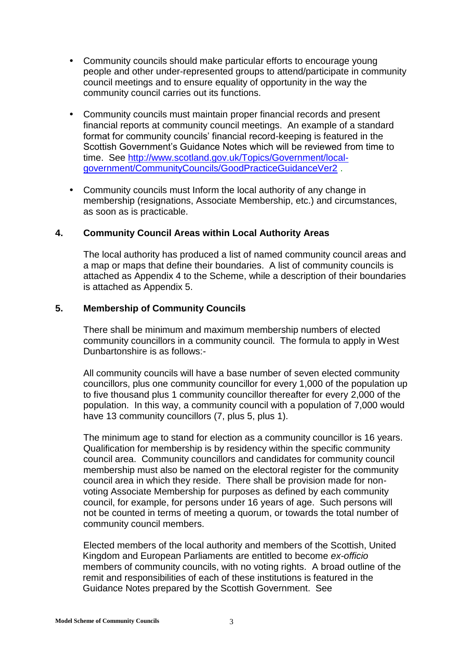- Community councils should make particular efforts to encourage young people and other under-represented groups to attend/participate in community council meetings and to ensure equality of opportunity in the way the community council carries out its functions.
- Community councils must maintain proper financial records and present financial reports at community council meetings. An example of a standard format for community councils' financial record-keeping is featured in the Scottish Government's Guidance Notes which will be reviewed from time to time. See [http://www.scotland.gov.uk/Topics/Government/local](http://www.scotland.gov.uk/Topics/Government/local-government/CommunityCouncils/GoodPracticeGuidanceVer2)[government/CommunityCouncils/GoodPracticeGuidanceVer2](http://www.scotland.gov.uk/Topics/Government/local-government/CommunityCouncils/GoodPracticeGuidanceVer2) .
- Community councils must Inform the local authority of any change in membership (resignations, Associate Membership, etc.) and circumstances, as soon as is practicable.

## **4. Community Council Areas within Local Authority Areas**

The local authority has produced a list of named community council areas and a map or maps that define their boundaries. A list of community councils is attached as Appendix 4 to the Scheme, while a description of their boundaries is attached as Appendix 5.

#### **5. Membership of Community Councils**

There shall be minimum and maximum membership numbers of elected community councillors in a community council. The formula to apply in West Dunbartonshire is as follows:-

All community councils will have a base number of seven elected community councillors, plus one community councillor for every 1,000 of the population up to five thousand plus 1 community councillor thereafter for every 2,000 of the population. In this way, a community council with a population of 7,000 would have 13 community councillors (7, plus 5, plus 1).

The minimum age to stand for election as a community councillor is 16 years. Qualification for membership is by residency within the specific community council area. Community councillors and candidates for community council membership must also be named on the electoral register for the community council area in which they reside. There shall be provision made for nonvoting Associate Membership for purposes as defined by each community council, for example, for persons under 16 years of age. Such persons will not be counted in terms of meeting a quorum, or towards the total number of community council members.

Elected members of the local authority and members of the Scottish, United Kingdom and European Parliaments are entitled to become *ex-officio* members of community councils, with no voting rights. A broad outline of the remit and responsibilities of each of these institutions is featured in the Guidance Notes prepared by the Scottish Government. See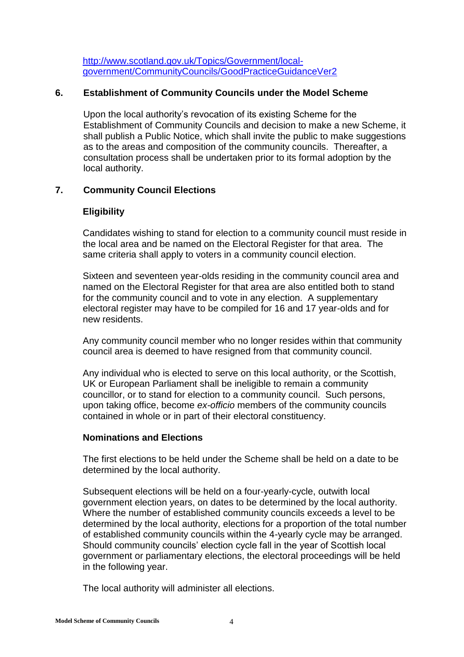[http://www.scotland.gov.uk/Topics/Government/local](http://www.scotland.gov.uk/Topics/Government/local-government/CommunityCouncils/GoodPracticeGuidanceVer2)[government/CommunityCouncils/GoodPracticeGuidanceVer2](http://www.scotland.gov.uk/Topics/Government/local-government/CommunityCouncils/GoodPracticeGuidanceVer2)

## **6. Establishment of Community Councils under the Model Scheme**

Upon the local authority's revocation of its existing Scheme for the Establishment of Community Councils and decision to make a new Scheme, it shall publish a Public Notice, which shall invite the public to make suggestions as to the areas and composition of the community councils. Thereafter, a consultation process shall be undertaken prior to its formal adoption by the local authority.

## **7. Community Council Elections**

## **Eligibility**

Candidates wishing to stand for election to a community council must reside in the local area and be named on the Electoral Register for that area. The same criteria shall apply to voters in a community council election.

Sixteen and seventeen year-olds residing in the community council area and named on the Electoral Register for that area are also entitled both to stand for the community council and to vote in any election. A supplementary electoral register may have to be compiled for 16 and 17 year-olds and for new residents.

Any community council member who no longer resides within that community council area is deemed to have resigned from that community council.

Any individual who is elected to serve on this local authority, or the Scottish, UK or European Parliament shall be ineligible to remain a community councillor, or to stand for election to a community council. Such persons, upon taking office, become *ex-officio* members of the community councils contained in whole or in part of their electoral constituency.

## **Nominations and Elections**

The first elections to be held under the Scheme shall be held on a date to be determined by the local authority.

Subsequent elections will be held on a four-yearly-cycle, outwith local government election years, on dates to be determined by the local authority. Where the number of established community councils exceeds a level to be determined by the local authority, elections for a proportion of the total number of established community councils within the 4-yearly cycle may be arranged. Should community councils' election cycle fall in the year of Scottish local government or parliamentary elections, the electoral proceedings will be held in the following year.

The local authority will administer all elections.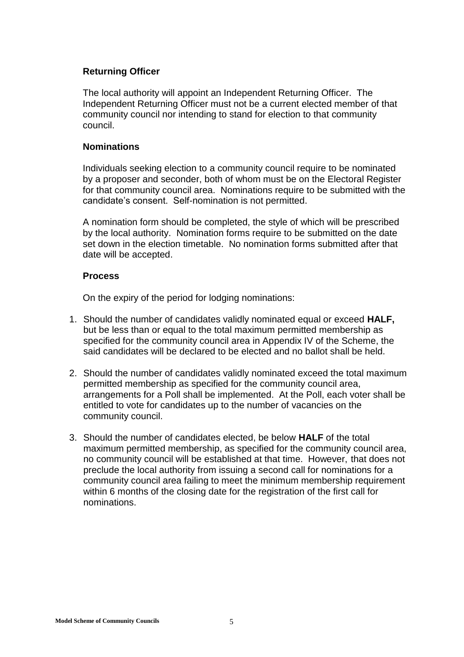## **Returning Officer**

The local authority will appoint an Independent Returning Officer. The Independent Returning Officer must not be a current elected member of that community council nor intending to stand for election to that community council.

## **Nominations**

Individuals seeking election to a community council require to be nominated by a proposer and seconder, both of whom must be on the Electoral Register for that community council area. Nominations require to be submitted with the candidate's consent. Self-nomination is not permitted.

A nomination form should be completed, the style of which will be prescribed by the local authority. Nomination forms require to be submitted on the date set down in the election timetable. No nomination forms submitted after that date will be accepted.

## **Process**

On the expiry of the period for lodging nominations:

- 1. Should the number of candidates validly nominated equal or exceed **HALF,** but be less than or equal to the total maximum permitted membership as specified for the community council area in Appendix IV of the Scheme, the said candidates will be declared to be elected and no ballot shall be held.
- 2. Should the number of candidates validly nominated exceed the total maximum permitted membership as specified for the community council area, arrangements for a Poll shall be implemented. At the Poll, each voter shall be entitled to vote for candidates up to the number of vacancies on the community council.
- 3. Should the number of candidates elected, be below **HALF** of the total maximum permitted membership, as specified for the community council area, no community council will be established at that time. However, that does not preclude the local authority from issuing a second call for nominations for a community council area failing to meet the minimum membership requirement within 6 months of the closing date for the registration of the first call for nominations.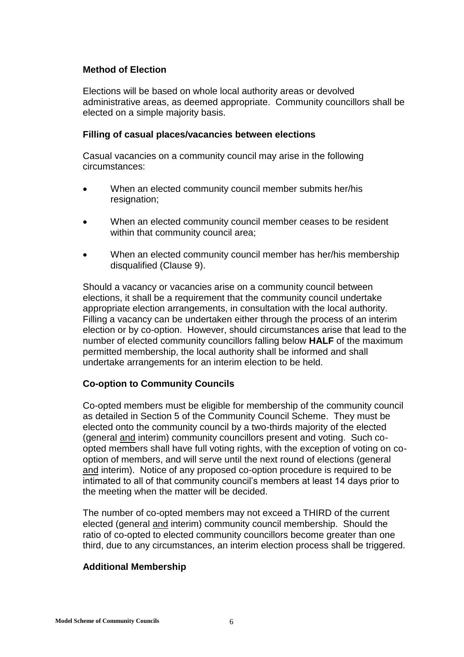## **Method of Election**

Elections will be based on whole local authority areas or devolved administrative areas, as deemed appropriate. Community councillors shall be elected on a simple majority basis.

#### **Filling of casual places/vacancies between elections**

Casual vacancies on a community council may arise in the following circumstances:

- When an elected community council member submits her/his resignation;
- When an elected community council member ceases to be resident within that community council area;
- When an elected community council member has her/his membership disqualified (Clause 9).

Should a vacancy or vacancies arise on a community council between elections, it shall be a requirement that the community council undertake appropriate election arrangements, in consultation with the local authority. Filling a vacancy can be undertaken either through the process of an interim election or by co-option. However, should circumstances arise that lead to the number of elected community councillors falling below **HALF** of the maximum permitted membership, the local authority shall be informed and shall undertake arrangements for an interim election to be held.

## **Co-option to Community Councils**

Co-opted members must be eligible for membership of the community council as detailed in Section 5 of the Community Council Scheme. They must be elected onto the community council by a two-thirds majority of the elected (general and interim) community councillors present and voting. Such coopted members shall have full voting rights, with the exception of voting on cooption of members, and will serve until the next round of elections (general and interim). Notice of any proposed co-option procedure is required to be intimated to all of that community council's members at least 14 days prior to the meeting when the matter will be decided.

The number of co-opted members may not exceed a THIRD of the current elected (general and interim) community council membership. Should the ratio of co-opted to elected community councillors become greater than one third, due to any circumstances, an interim election process shall be triggered.

## **Additional Membership**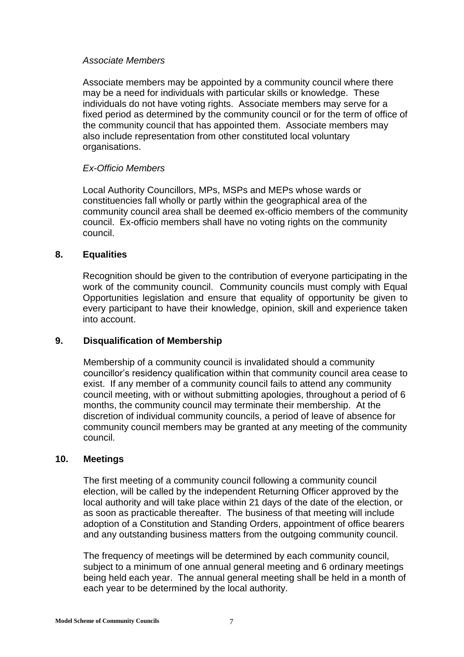#### *Associate Members*

Associate members may be appointed by a community council where there may be a need for individuals with particular skills or knowledge. These individuals do not have voting rights. Associate members may serve for a fixed period as determined by the community council or for the term of office of the community council that has appointed them. Associate members may also include representation from other constituted local voluntary organisations.

## *Ex-Officio Members*

Local Authority Councillors, MPs, MSPs and MEPs whose wards or constituencies fall wholly or partly within the geographical area of the community council area shall be deemed ex-officio members of the community council. Ex-officio members shall have no voting rights on the community council.

## **8. Equalities**

Recognition should be given to the contribution of everyone participating in the work of the community council. Community councils must comply with Equal Opportunities legislation and ensure that equality of opportunity be given to every participant to have their knowledge, opinion, skill and experience taken into account.

## **9. Disqualification of Membership**

Membership of a community council is invalidated should a community councillor's residency qualification within that community council area cease to exist. If any member of a community council fails to attend any community council meeting, with or without submitting apologies, throughout a period of 6 months, the community council may terminate their membership. At the discretion of individual community councils, a period of leave of absence for community council members may be granted at any meeting of the community council.

## **10. Meetings**

The first meeting of a community council following a community council election, will be called by the independent Returning Officer approved by the local authority and will take place within 21 days of the date of the election, or as soon as practicable thereafter. The business of that meeting will include adoption of a Constitution and Standing Orders, appointment of office bearers and any outstanding business matters from the outgoing community council.

The frequency of meetings will be determined by each community council, subject to a minimum of one annual general meeting and 6 ordinary meetings being held each year. The annual general meeting shall be held in a month of each year to be determined by the local authority.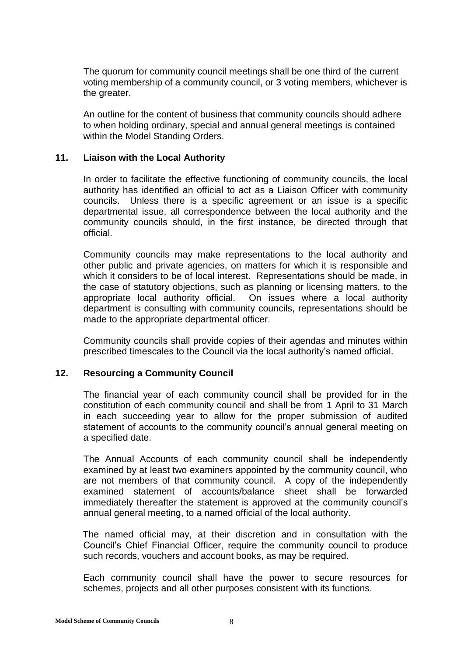The quorum for community council meetings shall be one third of the current voting membership of a community council, or 3 voting members, whichever is the greater.

An outline for the content of business that community councils should adhere to when holding ordinary, special and annual general meetings is contained within the Model Standing Orders.

## **11. Liaison with the Local Authority**

In order to facilitate the effective functioning of community councils, the local authority has identified an official to act as a Liaison Officer with community councils. Unless there is a specific agreement or an issue is a specific departmental issue, all correspondence between the local authority and the community councils should, in the first instance, be directed through that official.

Community councils may make representations to the local authority and other public and private agencies, on matters for which it is responsible and which it considers to be of local interest. Representations should be made, in the case of statutory objections, such as planning or licensing matters, to the appropriate local authority official. On issues where a local authority department is consulting with community councils, representations should be made to the appropriate departmental officer.

 Community councils shall provide copies of their agendas and minutes within prescribed timescales to the Council via the local authority's named official.

## **12. Resourcing a Community Council**

The financial year of each community council shall be provided for in the constitution of each community council and shall be from 1 April to 31 March in each succeeding year to allow for the proper submission of audited statement of accounts to the community council's annual general meeting on a specified date.

The Annual Accounts of each community council shall be independently examined by at least two examiners appointed by the community council, who are not members of that community council. A copy of the independently examined statement of accounts/balance sheet shall be forwarded immediately thereafter the statement is approved at the community council's annual general meeting, to a named official of the local authority.

The named official may, at their discretion and in consultation with the Council's Chief Financial Officer, require the community council to produce such records, vouchers and account books, as may be required.

Each community council shall have the power to secure resources for schemes, projects and all other purposes consistent with its functions.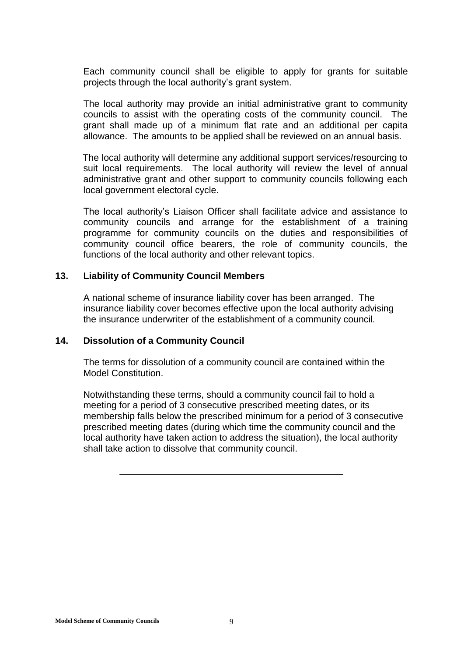Each community council shall be eligible to apply for grants for suitable projects through the local authority's grant system.

The local authority may provide an initial administrative grant to community councils to assist with the operating costs of the community council. The grant shall made up of a minimum flat rate and an additional per capita allowance. The amounts to be applied shall be reviewed on an annual basis.

The local authority will determine any additional support services/resourcing to suit local requirements. The local authority will review the level of annual administrative grant and other support to community councils following each local government electoral cycle.

The local authority's Liaison Officer shall facilitate advice and assistance to community councils and arrange for the establishment of a training programme for community councils on the duties and responsibilities of community council office bearers, the role of community councils, the functions of the local authority and other relevant topics.

#### **13. Liability of Community Council Members**

A national scheme of insurance liability cover has been arranged. The insurance liability cover becomes effective upon the local authority advising the insurance underwriter of the establishment of a community council.

#### **14. Dissolution of a Community Council**

The terms for dissolution of a community council are contained within the Model Constitution.

Notwithstanding these terms, should a community council fail to hold a meeting for a period of 3 consecutive prescribed meeting dates, or its membership falls below the prescribed minimum for a period of 3 consecutive prescribed meeting dates (during which time the community council and the local authority have taken action to address the situation), the local authority shall take action to dissolve that community council.

\_\_\_\_\_\_\_\_\_\_\_\_\_\_\_\_\_\_\_\_\_\_\_\_\_\_\_\_\_\_\_\_\_\_\_\_\_\_\_\_\_\_\_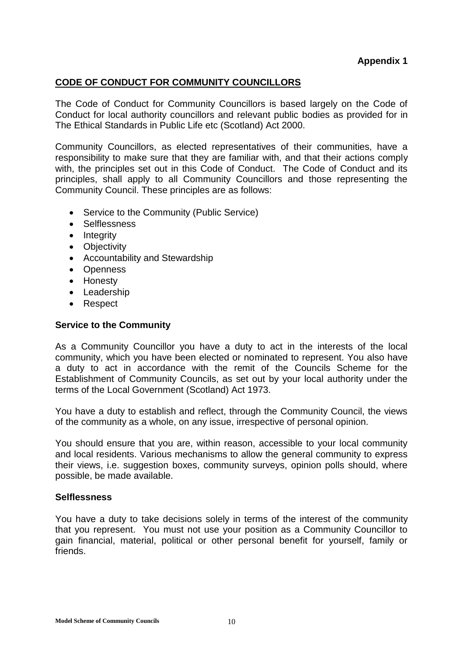## **CODE OF CONDUCT FOR COMMUNITY COUNCILLORS**

The Code of Conduct for Community Councillors is based largely on the Code of Conduct for local authority councillors and relevant public bodies as provided for in The Ethical Standards in Public Life etc (Scotland) Act 2000.

Community Councillors, as elected representatives of their communities, have a responsibility to make sure that they are familiar with, and that their actions comply with, the principles set out in this Code of Conduct. The Code of Conduct and its principles, shall apply to all Community Councillors and those representing the Community Council. These principles are as follows:

- Service to the Community (Public Service)
- Selflessness
- Integrity
- Objectivity
- Accountability and Stewardship
- Openness
- Honesty
- Leadership
- Respect

## **Service to the Community**

As a Community Councillor you have a duty to act in the interests of the local community, which you have been elected or nominated to represent. You also have a duty to act in accordance with the remit of the Councils Scheme for the Establishment of Community Councils, as set out by your local authority under the terms of the Local Government (Scotland) Act 1973.

You have a duty to establish and reflect, through the Community Council, the views of the community as a whole, on any issue, irrespective of personal opinion.

You should ensure that you are, within reason, accessible to your local community and local residents. Various mechanisms to allow the general community to express their views, i.e. suggestion boxes, community surveys, opinion polls should, where possible, be made available.

## **Selflessness**

You have a duty to take decisions solely in terms of the interest of the community that you represent. You must not use your position as a Community Councillor to gain financial, material, political or other personal benefit for yourself, family or friends.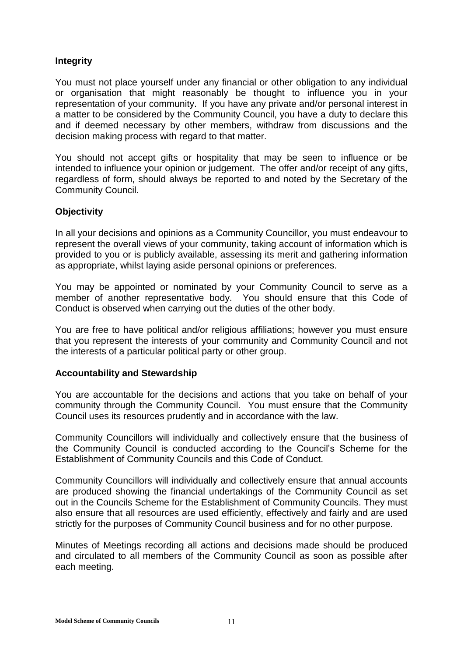## **Integrity**

You must not place yourself under any financial or other obligation to any individual or organisation that might reasonably be thought to influence you in your representation of your community. If you have any private and/or personal interest in a matter to be considered by the Community Council, you have a duty to declare this and if deemed necessary by other members, withdraw from discussions and the decision making process with regard to that matter.

You should not accept gifts or hospitality that may be seen to influence or be intended to influence your opinion or judgement. The offer and/or receipt of any gifts, regardless of form, should always be reported to and noted by the Secretary of the Community Council.

## **Objectivity**

In all your decisions and opinions as a Community Councillor, you must endeavour to represent the overall views of your community, taking account of information which is provided to you or is publicly available, assessing its merit and gathering information as appropriate, whilst laying aside personal opinions or preferences.

You may be appointed or nominated by your Community Council to serve as a member of another representative body. You should ensure that this Code of Conduct is observed when carrying out the duties of the other body.

You are free to have political and/or religious affiliations; however you must ensure that you represent the interests of your community and Community Council and not the interests of a particular political party or other group.

## **Accountability and Stewardship**

You are accountable for the decisions and actions that you take on behalf of your community through the Community Council. You must ensure that the Community Council uses its resources prudently and in accordance with the law.

Community Councillors will individually and collectively ensure that the business of the Community Council is conducted according to the Council's Scheme for the Establishment of Community Councils and this Code of Conduct.

Community Councillors will individually and collectively ensure that annual accounts are produced showing the financial undertakings of the Community Council as set out in the Councils Scheme for the Establishment of Community Councils. They must also ensure that all resources are used efficiently, effectively and fairly and are used strictly for the purposes of Community Council business and for no other purpose.

Minutes of Meetings recording all actions and decisions made should be produced and circulated to all members of the Community Council as soon as possible after each meeting.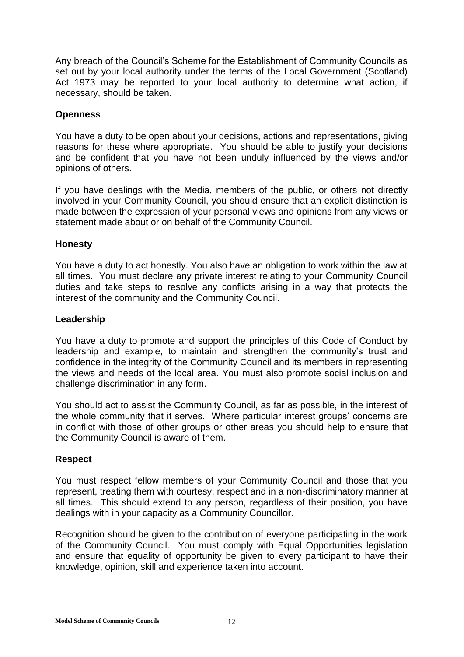Any breach of the Council's Scheme for the Establishment of Community Councils as set out by your local authority under the terms of the Local Government (Scotland) Act 1973 may be reported to your local authority to determine what action, if necessary, should be taken.

## **Openness**

You have a duty to be open about your decisions, actions and representations, giving reasons for these where appropriate. You should be able to justify your decisions and be confident that you have not been unduly influenced by the views and/or opinions of others.

If you have dealings with the Media, members of the public, or others not directly involved in your Community Council, you should ensure that an explicit distinction is made between the expression of your personal views and opinions from any views or statement made about or on behalf of the Community Council.

## **Honesty**

You have a duty to act honestly. You also have an obligation to work within the law at all times. You must declare any private interest relating to your Community Council duties and take steps to resolve any conflicts arising in a way that protects the interest of the community and the Community Council.

## **Leadership**

You have a duty to promote and support the principles of this Code of Conduct by leadership and example, to maintain and strengthen the community's trust and confidence in the integrity of the Community Council and its members in representing the views and needs of the local area. You must also promote social inclusion and challenge discrimination in any form.

You should act to assist the Community Council, as far as possible, in the interest of the whole community that it serves. Where particular interest groups' concerns are in conflict with those of other groups or other areas you should help to ensure that the Community Council is aware of them.

## **Respect**

You must respect fellow members of your Community Council and those that you represent, treating them with courtesy, respect and in a non-discriminatory manner at all times. This should extend to any person, regardless of their position, you have dealings with in your capacity as a Community Councillor.

Recognition should be given to the contribution of everyone participating in the work of the Community Council. You must comply with Equal Opportunities legislation and ensure that equality of opportunity be given to every participant to have their knowledge, opinion, skill and experience taken into account.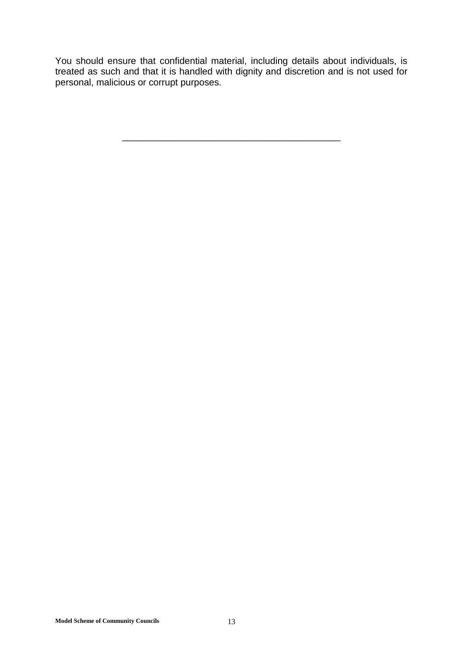You should ensure that confidential material, including details about individuals, is treated as such and that it is handled with dignity and discretion and is not used for personal, malicious or corrupt purposes.

\_\_\_\_\_\_\_\_\_\_\_\_\_\_\_\_\_\_\_\_\_\_\_\_\_\_\_\_\_\_\_\_\_\_\_\_\_\_\_\_\_\_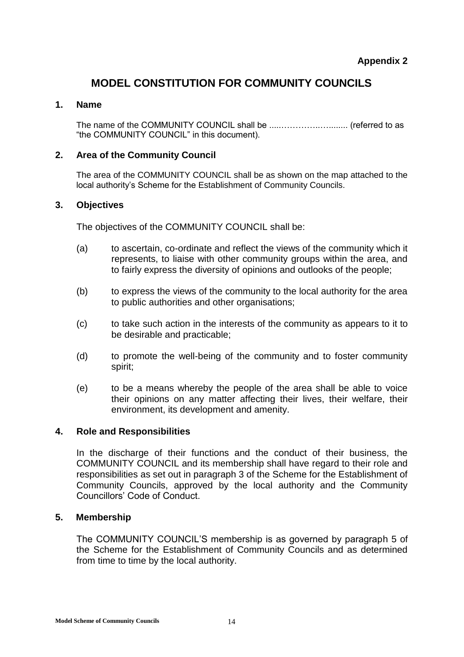# **MODEL CONSTITUTION FOR COMMUNITY COUNCILS**

## **1. Name**

The name of the COMMUNITY COUNCIL shall be .....…………..…........ (referred to as "the COMMUNITY COUNCIL" in this document).

## **2. Area of the Community Council**

The area of the COMMUNITY COUNCIL shall be as shown on the map attached to the local authority's Scheme for the Establishment of Community Councils.

## **3. Objectives**

The objectives of the COMMUNITY COUNCIL shall be:

- (a) to ascertain, co-ordinate and reflect the views of the community which it represents, to liaise with other community groups within the area, and to fairly express the diversity of opinions and outlooks of the people;
- (b) to express the views of the community to the local authority for the area to public authorities and other organisations;
- (c) to take such action in the interests of the community as appears to it to be desirable and practicable;
- (d) to promote the well-being of the community and to foster community spirit;
- (e) to be a means whereby the people of the area shall be able to voice their opinions on any matter affecting their lives, their welfare, their environment, its development and amenity.

## **4. Role and Responsibilities**

In the discharge of their functions and the conduct of their business, the COMMUNITY COUNCIL and its membership shall have regard to their role and responsibilities as set out in paragraph 3 of the Scheme for the Establishment of Community Councils, approved by the local authority and the Community Councillors' Code of Conduct.

## **5. Membership**

The COMMUNITY COUNCIL'S membership is as governed by paragraph 5 of the Scheme for the Establishment of Community Councils and as determined from time to time by the local authority.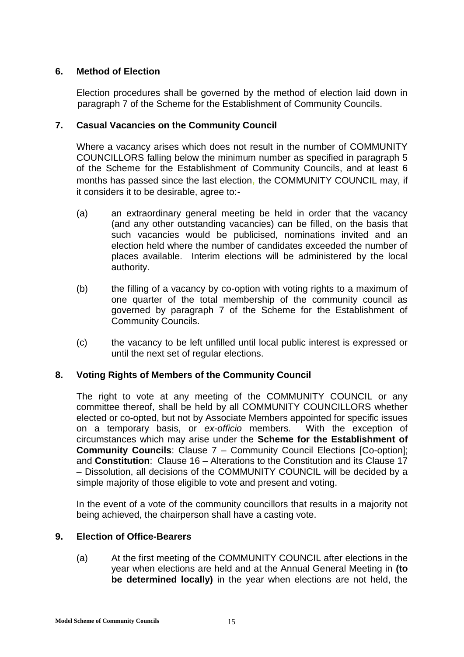## **6. Method of Election**

Election procedures shall be governed by the method of election laid down in paragraph 7 of the Scheme for the Establishment of Community Councils.

## **7. Casual Vacancies on the Community Council**

Where a vacancy arises which does not result in the number of COMMUNITY COUNCILLORS falling below the minimum number as specified in paragraph 5 of the Scheme for the Establishment of Community Councils, and at least 6 months has passed since the last election, the COMMUNITY COUNCIL may, if it considers it to be desirable, agree to:-

- (a) an extraordinary general meeting be held in order that the vacancy (and any other outstanding vacancies) can be filled, on the basis that such vacancies would be publicised, nominations invited and an election held where the number of candidates exceeded the number of places available. Interim elections will be administered by the local authority.
- (b) the filling of a vacancy by co-option with voting rights to a maximum of one quarter of the total membership of the community council as governed by paragraph 7 of the Scheme for the Establishment of Community Councils.
- (c) the vacancy to be left unfilled until local public interest is expressed or until the next set of regular elections.

## **8. Voting Rights of Members of the Community Council**

The right to vote at any meeting of the COMMUNITY COUNCIL or any committee thereof, shall be held by all COMMUNITY COUNCILLORS whether elected or co-opted, but not by Associate Members appointed for specific issues on a temporary basis, or *ex-officio* members. With the exception of circumstances which may arise under the **Scheme for the Establishment of Community Councils**: Clause 7 – Community Council Elections [Co-option]; and **Constitution**: Clause 16 – Alterations to the Constitution and its Clause 17 – Dissolution, all decisions of the COMMUNITY COUNCIL will be decided by a simple majority of those eligible to vote and present and voting.

In the event of a vote of the community councillors that results in a majority not being achieved, the chairperson shall have a casting vote.

## **9. Election of Office-Bearers**

(a) At the first meeting of the COMMUNITY COUNCIL after elections in the year when elections are held and at the Annual General Meeting in **(to be determined locally)** in the year when elections are not held, the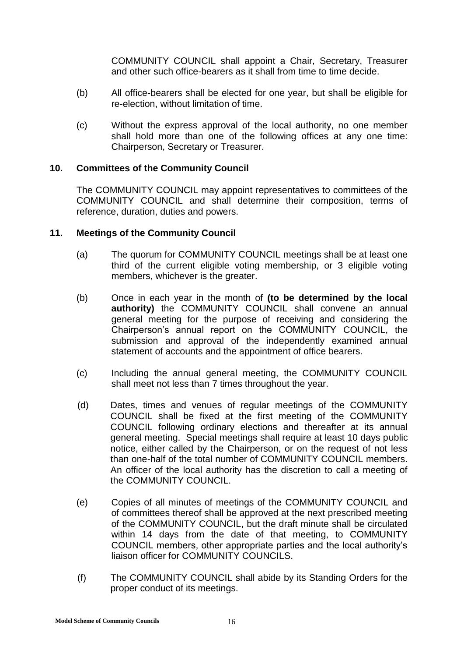COMMUNITY COUNCIL shall appoint a Chair, Secretary, Treasurer and other such office-bearers as it shall from time to time decide.

- (b) All office-bearers shall be elected for one year, but shall be eligible for re-election, without limitation of time.
- (c) Without the express approval of the local authority, no one member shall hold more than one of the following offices at any one time: Chairperson, Secretary or Treasurer.

## **10. Committees of the Community Council**

The COMMUNITY COUNCIL may appoint representatives to committees of the COMMUNITY COUNCIL and shall determine their composition, terms of reference, duration, duties and powers.

## **11. Meetings of the Community Council**

- (a) The quorum for COMMUNITY COUNCIL meetings shall be at least one third of the current eligible voting membership, or 3 eligible voting members, whichever is the greater.
- (b) Once in each year in the month of **(to be determined by the local authority)** the COMMUNITY COUNCIL shall convene an annual general meeting for the purpose of receiving and considering the Chairperson's annual report on the COMMUNITY COUNCIL, the submission and approval of the independently examined annual statement of accounts and the appointment of office bearers.
- (c) Including the annual general meeting, the COMMUNITY COUNCIL shall meet not less than 7 times throughout the year.
- (d) Dates, times and venues of regular meetings of the COMMUNITY COUNCIL shall be fixed at the first meeting of the COMMUNITY COUNCIL following ordinary elections and thereafter at its annual general meeting. Special meetings shall require at least 10 days public notice, either called by the Chairperson, or on the request of not less than one-half of the total number of COMMUNITY COUNCIL members. An officer of the local authority has the discretion to call a meeting of the COMMUNITY COUNCIL.
- (e) Copies of all minutes of meetings of the COMMUNITY COUNCIL and of committees thereof shall be approved at the next prescribed meeting of the COMMUNITY COUNCIL, but the draft minute shall be circulated within 14 days from the date of that meeting, to COMMUNITY COUNCIL members, other appropriate parties and the local authority's liaison officer for COMMUNITY COUNCILS.
- (f) The COMMUNITY COUNCIL shall abide by its Standing Orders for the proper conduct of its meetings.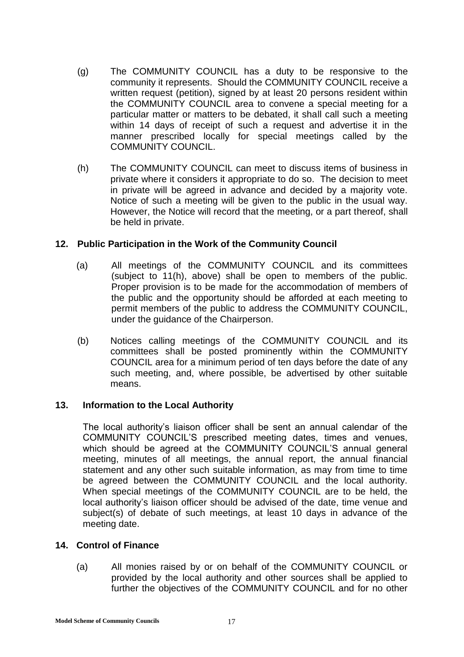- (g) The COMMUNITY COUNCIL has a duty to be responsive to the community it represents. Should the COMMUNITY COUNCIL receive a written request (petition), signed by at least 20 persons resident within the COMMUNITY COUNCIL area to convene a special meeting for a particular matter or matters to be debated, it shall call such a meeting within 14 days of receipt of such a request and advertise it in the manner prescribed locally for special meetings called by the COMMUNITY COUNCIL.
- (h) The COMMUNITY COUNCIL can meet to discuss items of business in private where it considers it appropriate to do so. The decision to meet in private will be agreed in advance and decided by a majority vote. Notice of such a meeting will be given to the public in the usual way. However, the Notice will record that the meeting, or a part thereof, shall be held in private.

## **12. Public Participation in the Work of the Community Council**

- (a) All meetings of the COMMUNITY COUNCIL and its committees (subject to 11(h), above) shall be open to members of the public. Proper provision is to be made for the accommodation of members of the public and the opportunity should be afforded at each meeting to permit members of the public to address the COMMUNITY COUNCIL, under the guidance of the Chairperson.
- (b) Notices calling meetings of the COMMUNITY COUNCIL and its committees shall be posted prominently within the COMMUNITY COUNCIL area for a minimum period of ten days before the date of any such meeting, and, where possible, be advertised by other suitable means.

## **13. Information to the Local Authority**

The local authority's liaison officer shall be sent an annual calendar of the COMMUNITY COUNCIL'S prescribed meeting dates, times and venues, which should be agreed at the COMMUNITY COUNCIL'S annual general meeting, minutes of all meetings, the annual report, the annual financial statement and any other such suitable information, as may from time to time be agreed between the COMMUNITY COUNCIL and the local authority. When special meetings of the COMMUNITY COUNCIL are to be held, the local authority's liaison officer should be advised of the date, time venue and subject(s) of debate of such meetings, at least 10 days in advance of the meeting date.

## **14. Control of Finance**

(a) All monies raised by or on behalf of the COMMUNITY COUNCIL or provided by the local authority and other sources shall be applied to further the objectives of the COMMUNITY COUNCIL and for no other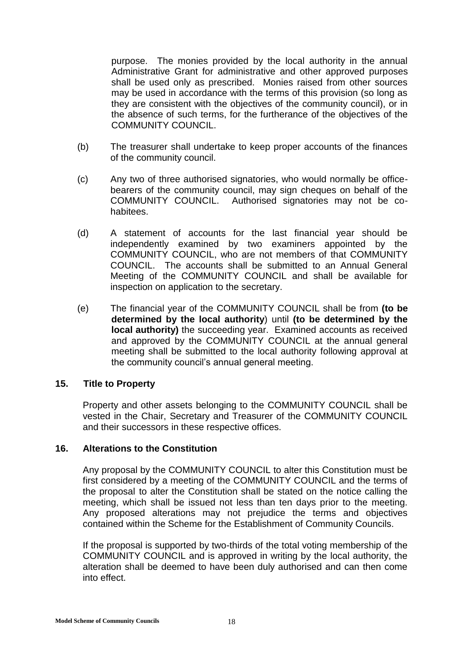purpose. The monies provided by the local authority in the annual Administrative Grant for administrative and other approved purposes shall be used only as prescribed. Monies raised from other sources may be used in accordance with the terms of this provision (so long as they are consistent with the objectives of the community council), or in the absence of such terms, for the furtherance of the objectives of the COMMUNITY COUNCIL.

- (b) The treasurer shall undertake to keep proper accounts of the finances of the community council.
- (c) Any two of three authorised signatories, who would normally be officebearers of the community council, may sign cheques on behalf of the COMMUNITY COUNCIL. Authorised signatories may not be cohabitees.
- (d) A statement of accounts for the last financial year should be independently examined by two examiners appointed by the COMMUNITY COUNCIL, who are not members of that COMMUNITY COUNCIL. The accounts shall be submitted to an Annual General Meeting of the COMMUNITY COUNCIL and shall be available for inspection on application to the secretary.
- (e) The financial year of the COMMUNITY COUNCIL shall be from **(to be determined by the local authority**) until **(to be determined by the local authority)** the succeeding year. Examined accounts as received and approved by the COMMUNITY COUNCIL at the annual general meeting shall be submitted to the local authority following approval at the community council's annual general meeting.

## **15. Title to Property**

Property and other assets belonging to the COMMUNITY COUNCIL shall be vested in the Chair, Secretary and Treasurer of the COMMUNITY COUNCIL and their successors in these respective offices.

## **16. Alterations to the Constitution**

Any proposal by the COMMUNITY COUNCIL to alter this Constitution must be first considered by a meeting of the COMMUNITY COUNCIL and the terms of the proposal to alter the Constitution shall be stated on the notice calling the meeting, which shall be issued not less than ten days prior to the meeting. Any proposed alterations may not prejudice the terms and objectives contained within the Scheme for the Establishment of Community Councils.

If the proposal is supported by two-thirds of the total voting membership of the COMMUNITY COUNCIL and is approved in writing by the local authority, the alteration shall be deemed to have been duly authorised and can then come into effect.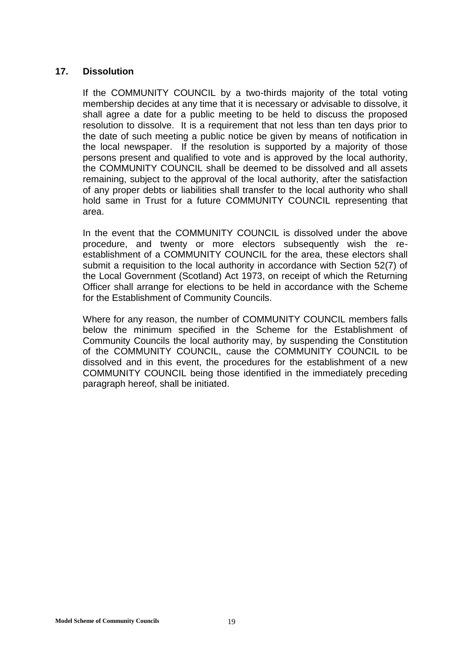## **17. Dissolution**

If the COMMUNITY COUNCIL by a two-thirds majority of the total voting membership decides at any time that it is necessary or advisable to dissolve, it shall agree a date for a public meeting to be held to discuss the proposed resolution to dissolve. It is a requirement that not less than ten days prior to the date of such meeting a public notice be given by means of notification in the local newspaper. If the resolution is supported by a majority of those persons present and qualified to vote and is approved by the local authority, the COMMUNITY COUNCIL shall be deemed to be dissolved and all assets remaining, subject to the approval of the local authority, after the satisfaction of any proper debts or liabilities shall transfer to the local authority who shall hold same in Trust for a future COMMUNITY COUNCIL representing that area.

In the event that the COMMUNITY COUNCIL is dissolved under the above procedure, and twenty or more electors subsequently wish the reestablishment of a COMMUNITY COUNCIL for the area, these electors shall submit a requisition to the local authority in accordance with Section 52(7) of the Local Government (Scotland) Act 1973, on receipt of which the Returning Officer shall arrange for elections to be held in accordance with the Scheme for the Establishment of Community Councils.

Where for any reason, the number of COMMUNITY COUNCIL members falls below the minimum specified in the Scheme for the Establishment of Community Councils the local authority may, by suspending the Constitution of the COMMUNITY COUNCIL, cause the COMMUNITY COUNCIL to be dissolved and in this event, the procedures for the establishment of a new COMMUNITY COUNCIL being those identified in the immediately preceding paragraph hereof, shall be initiated.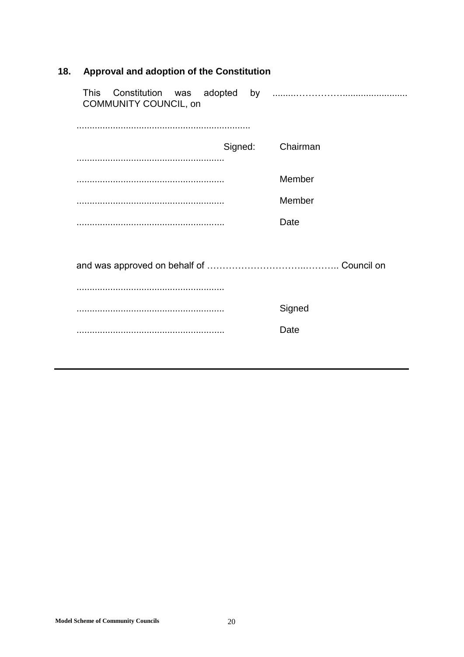| <b>COMMUNITY COUNCIL, on</b> |          |
|------------------------------|----------|
|                              |          |
| Signed:                      | Chairman |
|                              |          |
|                              | Member   |
|                              | Member   |
|                              | Date     |
|                              |          |
|                              |          |
|                              |          |
|                              | Signed   |
|                              | Date     |
|                              |          |
|                              |          |

## 18. Approval and adoption of the Constitution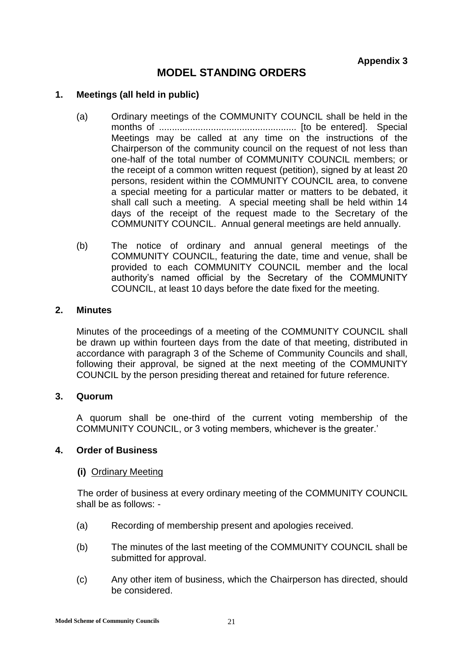# **MODEL STANDING ORDERS**

## **1. Meetings (all held in public)**

- (a) Ordinary meetings of the COMMUNITY COUNCIL shall be held in the months of ..................................................... [to be entered]. Special Meetings may be called at any time on the instructions of the Chairperson of the community council on the request of not less than one-half of the total number of COMMUNITY COUNCIL members; or the receipt of a common written request (petition), signed by at least 20 persons, resident within the COMMUNITY COUNCIL area, to convene a special meeting for a particular matter or matters to be debated, it shall call such a meeting. A special meeting shall be held within 14 days of the receipt of the request made to the Secretary of the COMMUNITY COUNCIL. Annual general meetings are held annually.
- (b) The notice of ordinary and annual general meetings of the COMMUNITY COUNCIL, featuring the date, time and venue, shall be provided to each COMMUNITY COUNCIL member and the local authority's named official by the Secretary of the COMMUNITY COUNCIL, at least 10 days before the date fixed for the meeting.

#### **2. Minutes**

Minutes of the proceedings of a meeting of the COMMUNITY COUNCIL shall be drawn up within fourteen days from the date of that meeting, distributed in accordance with paragraph 3 of the Scheme of Community Councils and shall, following their approval, be signed at the next meeting of the COMMUNITY COUNCIL by the person presiding thereat and retained for future reference.

## **3. Quorum**

A quorum shall be one-third of the current voting membership of the COMMUNITY COUNCIL, or 3 voting members, whichever is the greater.'

## **4. Order of Business**

#### **(i)** Ordinary Meeting

The order of business at every ordinary meeting of the COMMUNITY COUNCIL shall be as follows: -

- (a) Recording of membership present and apologies received.
- (b) The minutes of the last meeting of the COMMUNITY COUNCIL shall be submitted for approval.
- (c) Any other item of business, which the Chairperson has directed, should be considered.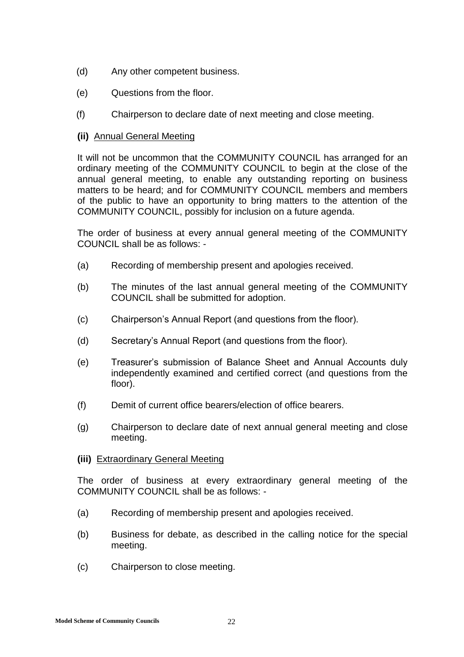- (d) Any other competent business.
- (e) Questions from the floor.
- (f) Chairperson to declare date of next meeting and close meeting.

## **(ii)** Annual General Meeting

It will not be uncommon that the COMMUNITY COUNCIL has arranged for an ordinary meeting of the COMMUNITY COUNCIL to begin at the close of the annual general meeting, to enable any outstanding reporting on business matters to be heard; and for COMMUNITY COUNCIL members and members of the public to have an opportunity to bring matters to the attention of the COMMUNITY COUNCIL, possibly for inclusion on a future agenda.

The order of business at every annual general meeting of the COMMUNITY COUNCIL shall be as follows: -

- (a) Recording of membership present and apologies received.
- (b) The minutes of the last annual general meeting of the COMMUNITY COUNCIL shall be submitted for adoption.
- (c) Chairperson's Annual Report (and questions from the floor).
- (d) Secretary's Annual Report (and questions from the floor).
- (e) Treasurer's submission of Balance Sheet and Annual Accounts duly independently examined and certified correct (and questions from the floor).
- (f) Demit of current office bearers/election of office bearers.
- (g) Chairperson to declare date of next annual general meeting and close meeting.
- **(iii)** Extraordinary General Meeting

The order of business at every extraordinary general meeting of the COMMUNITY COUNCIL shall be as follows: -

- (a) Recording of membership present and apologies received.
- (b) Business for debate, as described in the calling notice for the special meeting.
- (c) Chairperson to close meeting.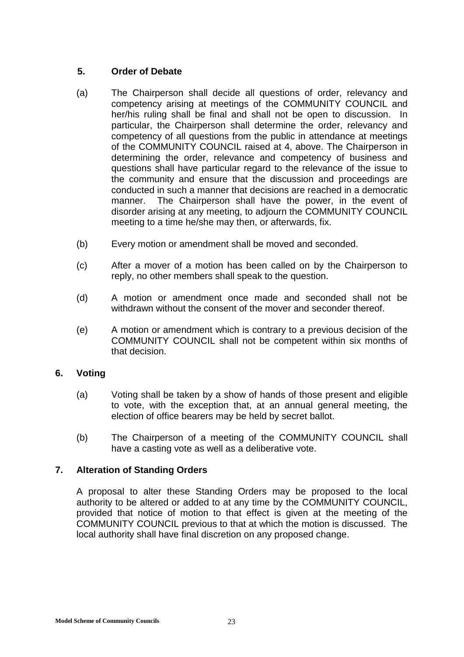## **5. Order of Debate**

- (a) The Chairperson shall decide all questions of order, relevancy and competency arising at meetings of the COMMUNITY COUNCIL and her/his ruling shall be final and shall not be open to discussion. In particular, the Chairperson shall determine the order, relevancy and competency of all questions from the public in attendance at meetings of the COMMUNITY COUNCIL raised at 4, above. The Chairperson in determining the order, relevance and competency of business and questions shall have particular regard to the relevance of the issue to the community and ensure that the discussion and proceedings are conducted in such a manner that decisions are reached in a democratic manner. The Chairperson shall have the power, in the event of disorder arising at any meeting, to adjourn the COMMUNITY COUNCIL meeting to a time he/she may then, or afterwards, fix.
- (b) Every motion or amendment shall be moved and seconded.
- (c) After a mover of a motion has been called on by the Chairperson to reply, no other members shall speak to the question.
- (d) A motion or amendment once made and seconded shall not be withdrawn without the consent of the mover and seconder thereof.
- (e) A motion or amendment which is contrary to a previous decision of the COMMUNITY COUNCIL shall not be competent within six months of that decision.

## **6. Voting**

- (a) Voting shall be taken by a show of hands of those present and eligible to vote, with the exception that, at an annual general meeting, the election of office bearers may be held by secret ballot.
- (b) The Chairperson of a meeting of the COMMUNITY COUNCIL shall have a casting vote as well as a deliberative vote.

## **7. Alteration of Standing Orders**

A proposal to alter these Standing Orders may be proposed to the local authority to be altered or added to at any time by the COMMUNITY COUNCIL, provided that notice of motion to that effect is given at the meeting of the COMMUNITY COUNCIL previous to that at which the motion is discussed. The local authority shall have final discretion on any proposed change.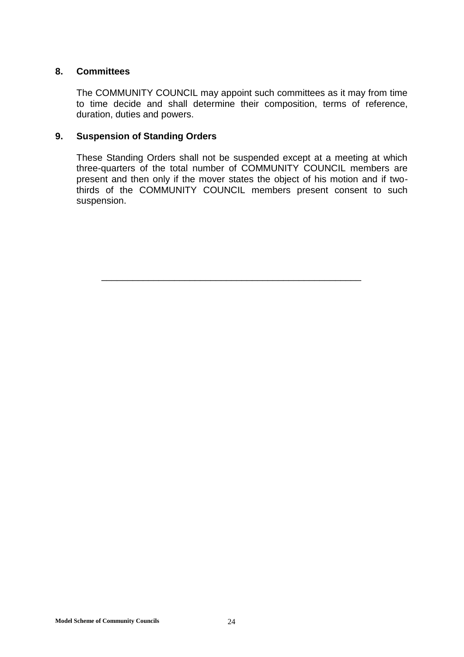## **8. Committees**

The COMMUNITY COUNCIL may appoint such committees as it may from time to time decide and shall determine their composition, terms of reference, duration, duties and powers.

## **9. Suspension of Standing Orders**

These Standing Orders shall not be suspended except at a meeting at which three-quarters of the total number of COMMUNITY COUNCIL members are present and then only if the mover states the object of his motion and if twothirds of the COMMUNITY COUNCIL members present consent to such suspension.

\_\_\_\_\_\_\_\_\_\_\_\_\_\_\_\_\_\_\_\_\_\_\_\_\_\_\_\_\_\_\_\_\_\_\_\_\_\_\_\_\_\_\_\_\_\_\_\_\_\_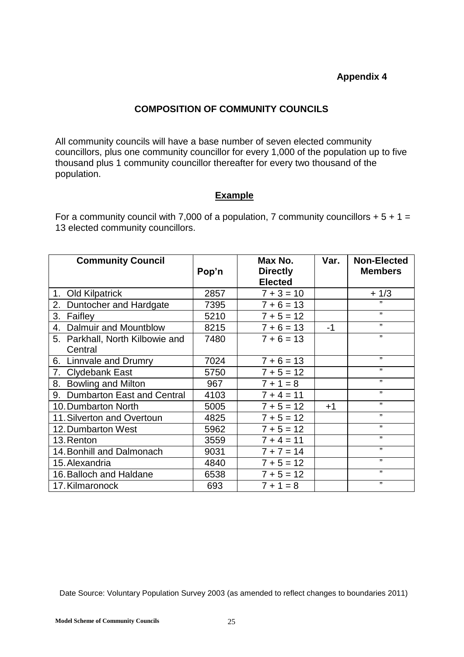## **Appendix 4**

## **COMPOSITION OF COMMUNITY COUNCILS**

All community councils will have a base number of seven elected community councillors, plus one community councillor for every 1,000 of the population up to five thousand plus 1 community councillor thereafter for every two thousand of the population.

## **Example**

For a community council with 7,000 of a population, 7 community councillors  $+ 5 + 1 =$ 13 elected community councillors.

| <b>Community Council</b>        | Pop'n | Max No.<br><b>Directly</b><br><b>Elected</b> | Var. | <b>Non-Elected</b><br><b>Members</b> |
|---------------------------------|-------|----------------------------------------------|------|--------------------------------------|
| 1. Old Kilpatrick               | 2857  | $7 + 3 = 10$                                 |      | $+1/3$                               |
| 2.<br>Duntocher and Hardgate    | 7395  | $7 + 6 = 13$                                 |      | ,,                                   |
| 3.<br>Faifley                   | 5210  | $7 + 5 = 12$                                 |      | $\overline{\mathbf{z}}$              |
| Dalmuir and Mountblow<br>4.     | 8215  | $7 + 6 = 13$                                 | $-1$ | $\mathbf{H}$                         |
| 5. Parkhall, North Kilbowie and | 7480  | $7 + 6 = 13$                                 |      | ,,                                   |
| Central                         |       |                                              |      |                                      |
| Linnvale and Drumry<br>6.       | 7024  | $7 + 6 = 13$                                 |      | 11                                   |
| 7. Clydebank East               | 5750  | $7 + 5 = 12$                                 |      | 11                                   |
| 8.<br><b>Bowling and Milton</b> | 967   | $7 + 1 = 8$                                  |      | ,,                                   |
| 9. Dumbarton East and Central   | 4103  | $7 + 4 = 11$                                 |      | $\mathbf{H}$                         |
| 10. Dumbarton North             | 5005  | $7 + 5 = 12$                                 | $+1$ | 11                                   |
| 11. Silverton and Overtoun      | 4825  | $7 + 5 = 12$                                 |      | 11                                   |
| 12. Dumbarton West              | 5962  | $7 + 5 = 12$                                 |      | $\mathbf{H}$                         |
| 13. Renton                      | 3559  | $7 + 4 = 11$                                 |      | $\mathbf{H}$                         |
| 14. Bonhill and Dalmonach       | 9031  | $7 + 7 = 14$                                 |      | $\overline{\mathbf{1}}$              |
| 15. Alexandria                  | 4840  | $7 + 5 = 12$                                 |      | $\mathbf{H}$                         |
| 16. Balloch and Haldane         | 6538  | $7 + 5 = 12$                                 |      | ,,                                   |
| 17. Kilmaronock                 | 693   | $7 + 1 = 8$                                  |      | , 1                                  |

Date Source: Voluntary Population Survey 2003 (as amended to reflect changes to boundaries 2011)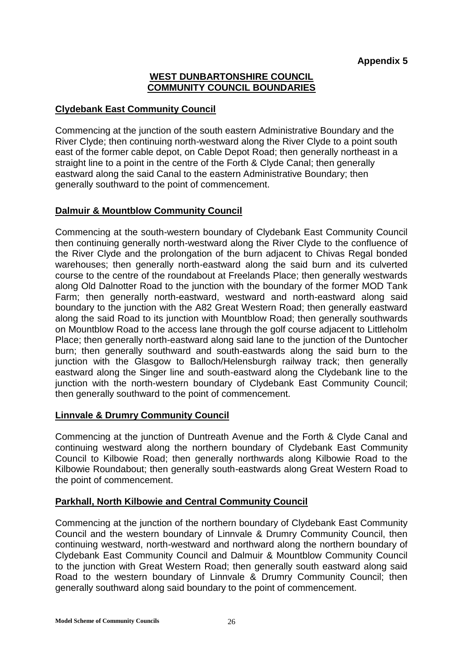## **WEST DUNBARTONSHIRE COUNCIL COMMUNITY COUNCIL BOUNDARIES**

## **Clydebank East Community Council**

Commencing at the junction of the south eastern Administrative Boundary and the River Clyde; then continuing north-westward along the River Clyde to a point south east of the former cable depot, on Cable Depot Road; then generally northeast in a straight line to a point in the centre of the Forth & Clyde Canal; then generally eastward along the said Canal to the eastern Administrative Boundary; then generally southward to the point of commencement.

## **Dalmuir & Mountblow Community Council**

Commencing at the south-western boundary of Clydebank East Community Council then continuing generally north-westward along the River Clyde to the confluence of the River Clyde and the prolongation of the burn adjacent to Chivas Regal bonded warehouses; then generally north-eastward along the said burn and its culverted course to the centre of the roundabout at Freelands Place; then generally westwards along Old Dalnotter Road to the junction with the boundary of the former MOD Tank Farm; then generally north-eastward, westward and north-eastward along said boundary to the junction with the A82 Great Western Road; then generally eastward along the said Road to its junction with Mountblow Road; then generally southwards on Mountblow Road to the access lane through the golf course adjacent to Littleholm Place; then generally north-eastward along said lane to the junction of the Duntocher burn; then generally southward and south-eastwards along the said burn to the junction with the Glasgow to Balloch/Helensburgh railway track; then generally eastward along the Singer line and south-eastward along the Clydebank line to the junction with the north-western boundary of Clydebank East Community Council; then generally southward to the point of commencement.

## **Linnvale & Drumry Community Council**

Commencing at the junction of Duntreath Avenue and the Forth & Clyde Canal and continuing westward along the northern boundary of Clydebank East Community Council to Kilbowie Road; then generally northwards along Kilbowie Road to the Kilbowie Roundabout; then generally south-eastwards along Great Western Road to the point of commencement.

## **Parkhall, North Kilbowie and Central Community Council**

Commencing at the junction of the northern boundary of Clydebank East Community Council and the western boundary of Linnvale & Drumry Community Council, then continuing westward, north-westward and northward along the northern boundary of Clydebank East Community Council and Dalmuir & Mountblow Community Council to the junction with Great Western Road; then generally south eastward along said Road to the western boundary of Linnvale & Drumry Community Council; then generally southward along said boundary to the point of commencement.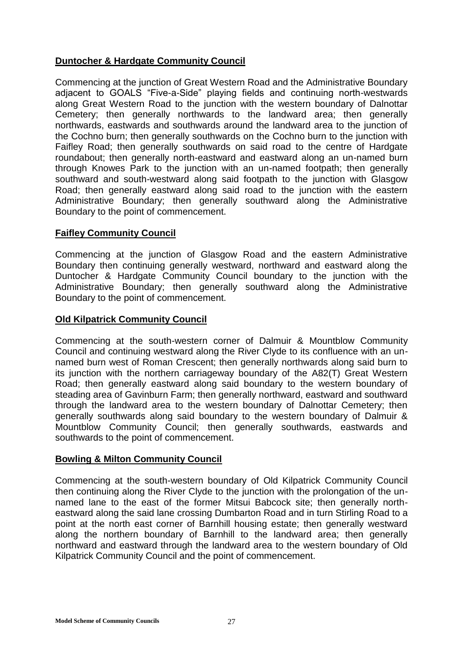## **Duntocher & Hardgate Community Council**

Commencing at the junction of Great Western Road and the Administrative Boundary adjacent to GOALS "Five-a-Side" playing fields and continuing north-westwards along Great Western Road to the junction with the western boundary of Dalnottar Cemetery; then generally northwards to the landward area; then generally northwards, eastwards and southwards around the landward area to the junction of the Cochno burn; then generally southwards on the Cochno burn to the junction with Faifley Road; then generally southwards on said road to the centre of Hardgate roundabout; then generally north-eastward and eastward along an un-named burn through Knowes Park to the junction with an un-named footpath; then generally southward and south-westward along said footpath to the junction with Glasgow Road; then generally eastward along said road to the junction with the eastern Administrative Boundary; then generally southward along the Administrative Boundary to the point of commencement.

## **Faifley Community Council**

Commencing at the junction of Glasgow Road and the eastern Administrative Boundary then continuing generally westward, northward and eastward along the Duntocher & Hardgate Community Council boundary to the junction with the Administrative Boundary; then generally southward along the Administrative Boundary to the point of commencement.

## **Old Kilpatrick Community Council**

Commencing at the south-western corner of Dalmuir & Mountblow Community Council and continuing westward along the River Clyde to its confluence with an unnamed burn west of Roman Crescent; then generally northwards along said burn to its junction with the northern carriageway boundary of the A82(T) Great Western Road; then generally eastward along said boundary to the western boundary of steading area of Gavinburn Farm; then generally northward, eastward and southward through the landward area to the western boundary of Dalnottar Cemetery; then generally southwards along said boundary to the western boundary of Dalmuir & Mountblow Community Council; then generally southwards, eastwards and southwards to the point of commencement.

## **Bowling & Milton Community Council**

Commencing at the south-western boundary of Old Kilpatrick Community Council then continuing along the River Clyde to the junction with the prolongation of the unnamed lane to the east of the former Mitsui Babcock site; then generally northeastward along the said lane crossing Dumbarton Road and in turn Stirling Road to a point at the north east corner of Barnhill housing estate; then generally westward along the northern boundary of Barnhill to the landward area; then generally northward and eastward through the landward area to the western boundary of Old Kilpatrick Community Council and the point of commencement.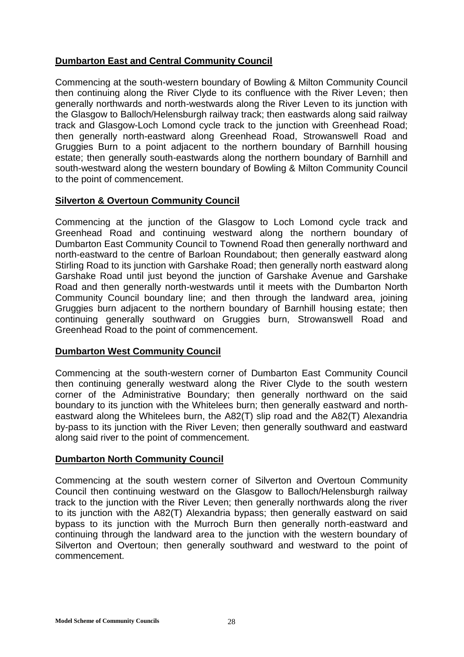## **Dumbarton East and Central Community Council**

Commencing at the south-western boundary of Bowling & Milton Community Council then continuing along the River Clyde to its confluence with the River Leven; then generally northwards and north-westwards along the River Leven to its junction with the Glasgow to Balloch/Helensburgh railway track; then eastwards along said railway track and Glasgow-Loch Lomond cycle track to the junction with Greenhead Road; then generally north-eastward along Greenhead Road, Strowanswell Road and Gruggies Burn to a point adjacent to the northern boundary of Barnhill housing estate; then generally south-eastwards along the northern boundary of Barnhill and south-westward along the western boundary of Bowling & Milton Community Council to the point of commencement.

## **Silverton & Overtoun Community Council**

Commencing at the junction of the Glasgow to Loch Lomond cycle track and Greenhead Road and continuing westward along the northern boundary of Dumbarton East Community Council to Townend Road then generally northward and north-eastward to the centre of Barloan Roundabout; then generally eastward along Stirling Road to its junction with Garshake Road; then generally north eastward along Garshake Road until just beyond the junction of Garshake Avenue and Garshake Road and then generally north-westwards until it meets with the Dumbarton North Community Council boundary line; and then through the landward area, joining Gruggies burn adjacent to the northern boundary of Barnhill housing estate; then continuing generally southward on Gruggies burn, Strowanswell Road and Greenhead Road to the point of commencement.

## **Dumbarton West Community Council**

Commencing at the south-western corner of Dumbarton East Community Council then continuing generally westward along the River Clyde to the south western corner of the Administrative Boundary; then generally northward on the said boundary to its junction with the Whitelees burn; then generally eastward and northeastward along the Whitelees burn, the A82(T) slip road and the A82(T) Alexandria by-pass to its junction with the River Leven; then generally southward and eastward along said river to the point of commencement.

## **Dumbarton North Community Council**

Commencing at the south western corner of Silverton and Overtoun Community Council then continuing westward on the Glasgow to Balloch/Helensburgh railway track to the junction with the River Leven; then generally northwards along the river to its junction with the A82(T) Alexandria bypass; then generally eastward on said bypass to its junction with the Murroch Burn then generally north-eastward and continuing through the landward area to the junction with the western boundary of Silverton and Overtoun; then generally southward and westward to the point of commencement.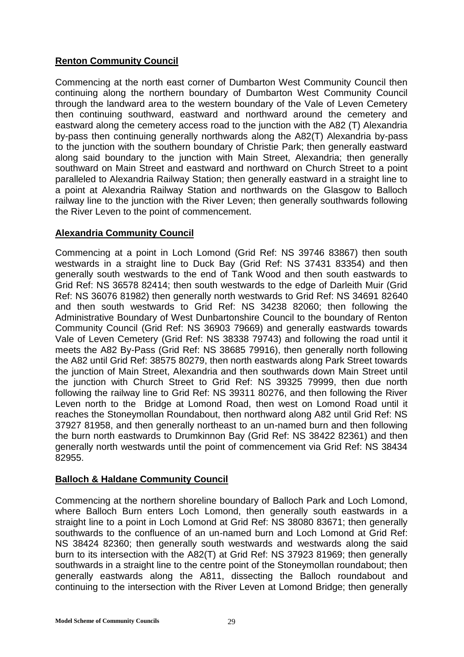## **Renton Community Council**

Commencing at the north east corner of Dumbarton West Community Council then continuing along the northern boundary of Dumbarton West Community Council through the landward area to the western boundary of the Vale of Leven Cemetery then continuing southward, eastward and northward around the cemetery and eastward along the cemetery access road to the junction with the A82 (T) Alexandria by-pass then continuing generally northwards along the A82(T) Alexandria by-pass to the junction with the southern boundary of Christie Park; then generally eastward along said boundary to the junction with Main Street, Alexandria; then generally southward on Main Street and eastward and northward on Church Street to a point paralleled to Alexandria Railway Station; then generally eastward in a straight line to a point at Alexandria Railway Station and northwards on the Glasgow to Balloch railway line to the junction with the River Leven; then generally southwards following the River Leven to the point of commencement.

## **Alexandria Community Council**

Commencing at a point in Loch Lomond (Grid Ref: NS 39746 83867) then south westwards in a straight line to Duck Bay (Grid Ref: NS 37431 83354) and then generally south westwards to the end of Tank Wood and then south eastwards to Grid Ref: NS 36578 82414; then south westwards to the edge of Darleith Muir (Grid Ref: NS 36076 81982) then generally north westwards to Grid Ref: NS 34691 82640 and then south westwards to Grid Ref: NS 34238 82060; then following the Administrative Boundary of West Dunbartonshire Council to the boundary of Renton Community Council (Grid Ref: NS 36903 79669) and generally eastwards towards Vale of Leven Cemetery (Grid Ref: NS 38338 79743) and following the road until it meets the A82 By-Pass (Grid Ref: NS 38685 79916), then generally north following the A82 until Grid Ref: 38575 80279, then north eastwards along Park Street towards the junction of Main Street, Alexandria and then southwards down Main Street until the junction with Church Street to Grid Ref: NS 39325 79999, then due north following the railway line to Grid Ref: NS 39311 80276, and then following the River Leven north to the Bridge at Lomond Road, then west on Lomond Road until it reaches the Stoneymollan Roundabout, then northward along A82 until Grid Ref: NS 37927 81958, and then generally northeast to an un-named burn and then following the burn north eastwards to Drumkinnon Bay (Grid Ref: NS 38422 82361) and then generally north westwards until the point of commencement via Grid Ref: NS 38434 82955.

## **Balloch & Haldane Community Council**

Commencing at the northern shoreline boundary of Balloch Park and Loch Lomond, where Balloch Burn enters Loch Lomond, then generally south eastwards in a straight line to a point in Loch Lomond at Grid Ref: NS 38080 83671; then generally southwards to the confluence of an un-named burn and Loch Lomond at Grid Ref: NS 38424 82360; then generally south westwards and westwards along the said burn to its intersection with the A82(T) at Grid Ref: NS 37923 81969; then generally southwards in a straight line to the centre point of the Stoneymollan roundabout; then generally eastwards along the A811, dissecting the Balloch roundabout and continuing to the intersection with the River Leven at Lomond Bridge; then generally